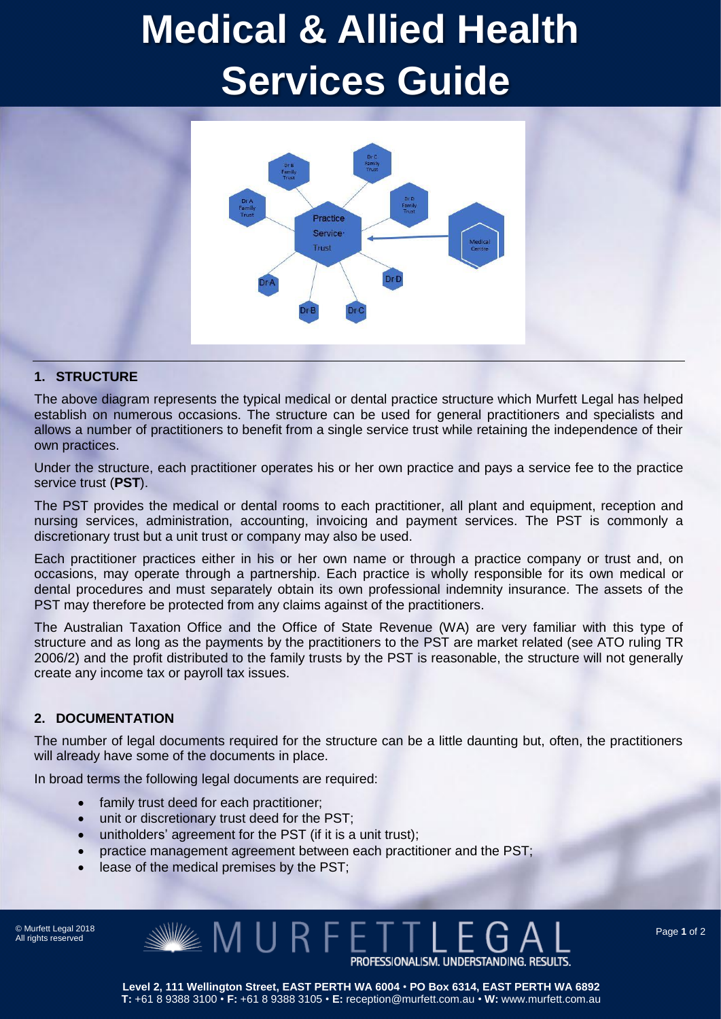# **Medical & Allied Health Services Guide**



#### **1. STRUCTURE**

The above diagram represents the typical medical or dental practice structure which Murfett Legal has helped establish on numerous occasions. The structure can be used for general practitioners and specialists and allows a number of practitioners to benefit from a single service trust while retaining the independence of their own practices.

Under the structure, each practitioner operates his or her own practice and pays a service fee to the practice service trust (**PST**).

The PST provides the medical or dental rooms to each practitioner, all plant and equipment, reception and nursing services, administration, accounting, invoicing and payment services. The PST is commonly a discretionary trust but a unit trust or company may also be used.

Each practitioner practices either in his or her own name or through a practice company or trust and, on occasions, may operate through a partnership. Each practice is wholly responsible for its own medical or dental procedures and must separately obtain its own professional indemnity insurance. The assets of the PST may therefore be protected from any claims against of the practitioners.

The Australian Taxation Office and the Office of State Revenue (WA) are very familiar with this type of structure and as long as the payments by the practitioners to the PST are market related (see ATO ruling TR 2006/2) and the profit distributed to the family trusts by the PST is reasonable, the structure will not generally create any income tax or payroll tax issues.

#### **2. DOCUMENTATION**

The number of legal documents required for the structure can be a little daunting but, often, the practitioners will already have some of the documents in place.

In broad terms the following legal documents are required:

- family trust deed for each practitioner:
- unit or discretionary trust deed for the PST;
- unitholders' agreement for the PST (if it is a unit trust);
- practice management agreement between each practitioner and the PST;

MURFET

lease of the medical premises by the PST;

© Murfett Legal 2018 All rights reserved

Page **1** of 2

**Level 2, 111 Wellington Street, EAST PERTH WA 6004** • **PO Box 6314, EAST PERTH WA 6892 T:** +61 8 9388 3100 • **F:** +61 8 9388 3105 • **E:** reception@murfett.com.au • **W:** www.murfett.com.au

PROFESSIONALISM. UNDERSTANDING. RESULTS.